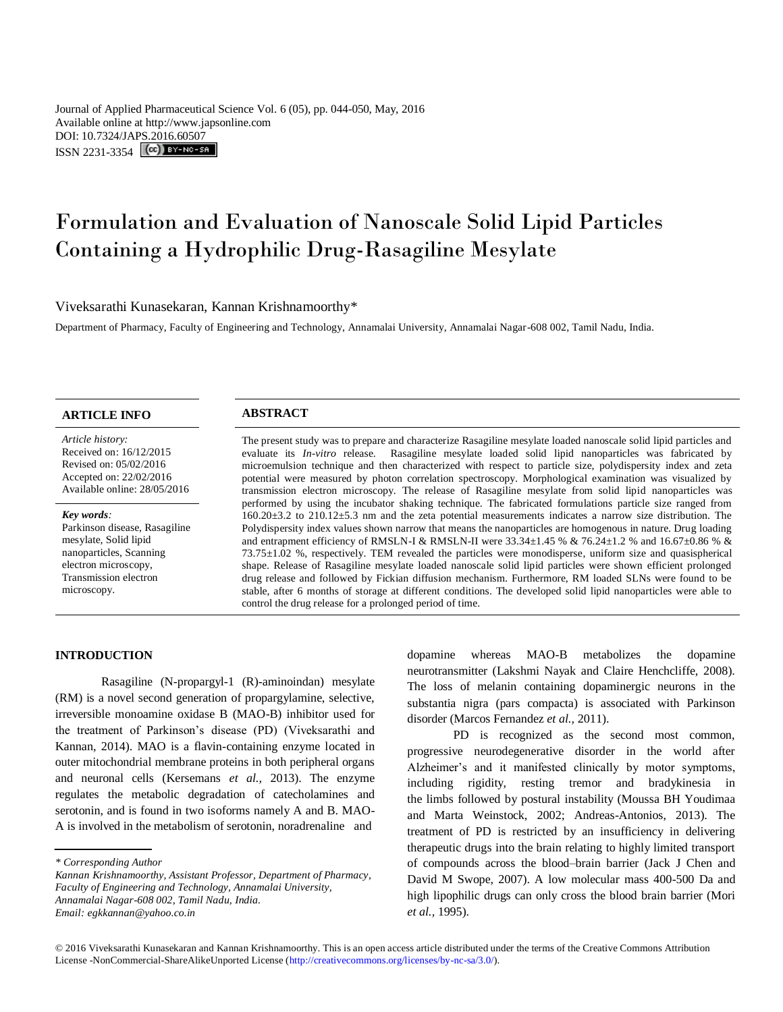Journal of Applied Pharmaceutical Science Vol. 6 (05), pp. 044-050, May, 2016 Available online at http://www.japsonline.com DOI: 10.7324/JA[PS.2016.60507](http://creativecommons.org/licenses/by-nc-sa/3.0/) ISSN 2231-3354 **(cc)** BY-NO-SA

# Formulation and Evaluation of Nanoscale Solid Lipid Particles Containing a Hydrophilic Drug-Rasagiline Mesylate

Viveksarathi Kunasekaran, Kannan Krishnamoorthy\*

Department of Pharmacy, Faculty of Engineering and Technology, Annamalai University, Annamalai Nagar-608 002, Tamil Nadu, India.

# **ARTICLE INFO ABSTRACT**

*Article history:* Received on: 16/12/2015 Revised on: 05/02/2016 Accepted on: 22/02/2016 Available online: 28/05/2016

#### *Key words:*

Parkinson disease, Rasagiline mesylate, Solid lipid nanoparticles, Scanning electron microscopy, Transmission electron microscopy.

The present study was to prepare and characterize Rasagiline mesylate loaded nanoscale solid lipid particles and evaluate its *In-vitro* release. Rasagiline mesylate loaded solid lipid nanoparticles was fabricated by microemulsion technique and then characterized with respect to particle size, polydispersity index and zeta potential were measured by photon correlation spectroscopy. Morphological examination was visualized by transmission electron microscopy. The release of Rasagiline mesylate from solid lipid nanoparticles was performed by using the incubator shaking technique. The fabricated formulations particle size ranged from 160.20±3.2 to 210.12±5.3 nm and the zeta potential measurements indicates a narrow size distribution. The Polydispersity index values shown narrow that means the nanoparticles are homogenous in nature. Drug loading and entrapment efficiency of RMSLN-I & RMSLN-II were  $33.34 \pm 1.45$  % &  $76.24 \pm 1.2$  % and  $16.67 \pm 0.86$  % & 73.75±1.02 %, respectively. TEM revealed the particles were monodisperse, uniform size and quasispherical shape. Release of Rasagiline mesylate loaded nanoscale solid lipid particles were shown efficient prolonged drug release and followed by Fickian diffusion mechanism. Furthermore, RM loaded SLNs were found to be stable, after 6 months of storage at different conditions. The developed solid lipid nanoparticles were able to control the drug release for a prolonged period of time.

# **INTRODUCTION**

Rasagiline (N-propargyl-1 (R)-aminoindan) mesylate (RM) is a novel second generation of propargylamine, selective, irreversible monoamine oxidase B (MAO-B) inhibitor used for the treatment of Parkinson's disease (PD) (Viveksarathi and Kannan, 2014). MAO is a flavin-containing enzyme located in outer mitochondrial membrane proteins in both peripheral organs and neuronal cells (Kersemans *et al.,* 2013). The enzyme regulates the metabolic degradation of catecholamines and serotonin, and is found in two isoforms namely A and B. MAO-A is involved in the metabolism of serotonin, noradrenaline and

dopamine whereas MAO-B metabolizes the dopamine neurotransmitter (Lakshmi Nayak and Claire Henchcliffe, 2008). The loss of melanin containing dopaminergic neurons in the substantia nigra (pars compacta) is associated with Parkinson disorder (Marcos Fernandez *et al.,* 2011).

PD is recognized as the second most common, progressive neurodegenerative disorder in the world after Alzheimer's and it manifested clinically by motor symptoms, including rigidity, resting tremor and bradykinesia in the limbs followed by postural instability (Moussa BH Youdimaa and Marta Weinstock, 2002; Andreas-Antonios, 2013). The treatment of PD is restricted by an insufficiency in delivering therapeutic drugs into the brain relating to highly limited transport of compounds across the blood–brain barrier (Jack J Chen and David M Swope, 2007). A low molecular mass 400-500 Da and high lipophilic drugs can only cross the blood brain barrier (Mori *et al.,* 1995).

*<sup>\*</sup> Corresponding Author*

*Kannan Krishnamoorthy, Assistant Professor, Department of Pharmacy, Faculty of Engineering and Technology, Annamalai University, Annamalai Nagar-608 002, Tamil Nadu, India. Email: egkkannan@yahoo.co.in*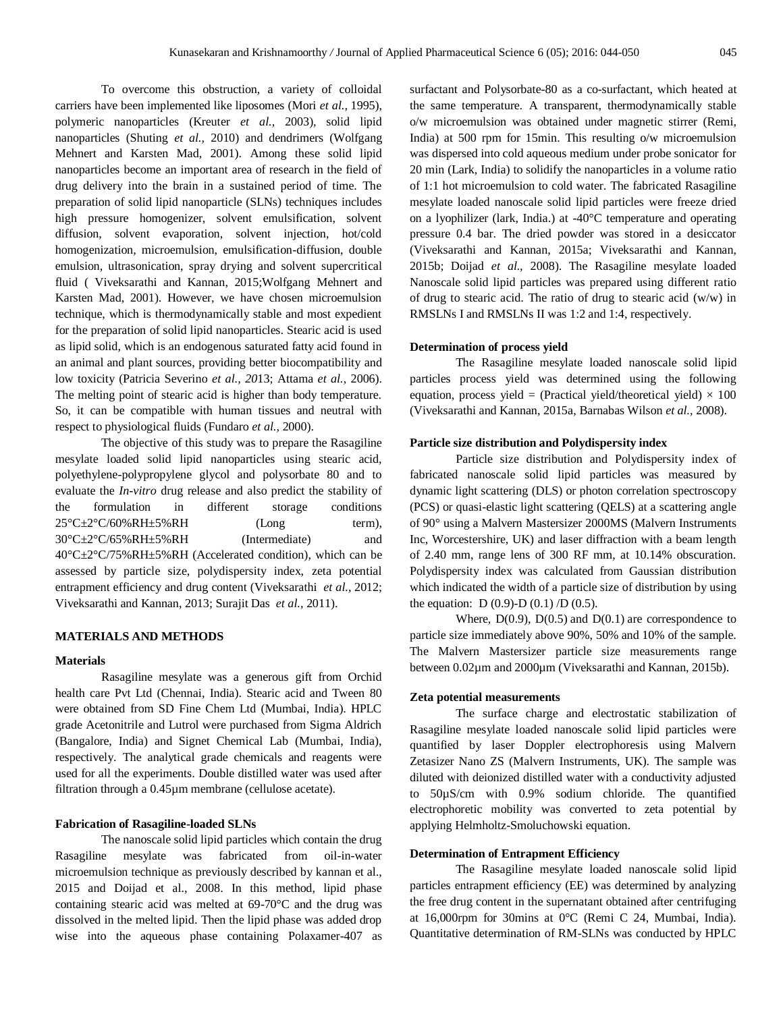To overcome this obstruction, a variety of colloidal carriers have been implemented like liposomes (Mori *et al.,* 1995), polymeric nanoparticles (Kreuter *et al.,* 2003), solid lipid nanoparticles (Shuting *et al.,* 2010) and dendrimers (Wolfgang Mehnert and Karsten Mad, 2001). Among these solid lipid nanoparticles become an important area of research in the field of drug delivery into the brain in a sustained period of time. The preparation of solid lipid nanoparticle (SLNs) techniques includes high pressure homogenizer, solvent emulsification, solvent diffusion, solvent evaporation, solvent injection, hot/cold homogenization, microemulsion, emulsification-diffusion, double emulsion, ultrasonication, spray drying and solvent supercritical fluid ( Viveksarathi and Kannan, 2015;Wolfgang Mehnert and Karsten Mad, 2001). However, we have chosen microemulsion technique, which is thermodynamically stable and most expedient for the preparation of solid lipid nanoparticles. Stearic acid is used as lipid solid, which is an endogenous saturated fatty acid found in an animal and plant sources, providing better biocompatibility and low toxicity (Patricia Severino *et al., 20*13; Attama *et al.,* 2006). The melting point of stearic acid is higher than body temperature. So, it can be compatible with human tissues and neutral with respect to physiological fluids (Fundaro *et al.,* 2000).

The objective of this study was to prepare the Rasagiline mesylate loaded solid lipid nanoparticles using stearic acid, polyethylene-polypropylene glycol and polysorbate 80 and to evaluate the *In-vitro* drug release and also predict the stability of the formulation in different storage conditions  $25^{\circ}$ C $\pm$ 2°C/60%RH $\pm$ 5%RH (Long term), 30°C±2°C/65%RH±5%RH (Intermediate) and 40°C±2°C/75%RH±5%RH (Accelerated condition), which can be assessed by particle size, polydispersity index, zeta potential entrapment efficiency and drug content (Viveksarathi *et al.,* 2012; Viveksarathi and Kannan, 2013; Surajit Das *et al.,* 2011).

# **MATERIALS AND METHODS**

# **Materials**

Rasagiline mesylate was a generous gift from Orchid health care Pvt Ltd (Chennai, India). Stearic acid and Tween 80 were obtained from SD Fine Chem Ltd (Mumbai, India). HPLC grade Acetonitrile and Lutrol were purchased from Sigma Aldrich (Bangalore, India) and Signet Chemical Lab (Mumbai, India), respectively. The analytical grade chemicals and reagents were used for all the experiments. Double distilled water was used after filtration through a 0.45µm membrane (cellulose acetate).

# **Fabrication of Rasagiline-loaded SLNs**

The nanoscale solid lipid particles which contain the drug Rasagiline mesylate was fabricated from oil-in-water microemulsion technique as previously described by kannan et al., 2015 and Doijad et al., 2008. In this method, lipid phase containing stearic acid was melted at 69-70°C and the drug was dissolved in the melted lipid. Then the lipid phase was added drop wise into the aqueous phase containing Polaxamer-407 as

surfactant and Polysorbate-80 as a co-surfactant, which heated at the same temperature. A transparent, thermodynamically stable o/w microemulsion was obtained under magnetic stirrer (Remi, India) at 500 rpm for 15min. This resulting o/w microemulsion was dispersed into cold aqueous medium under probe sonicator for 20 min (Lark, India) to solidify the nanoparticles in a volume ratio of 1:1 hot microemulsion to cold water. The fabricated Rasagiline mesylate loaded nanoscale solid lipid particles were freeze dried on a lyophilizer (lark, India.) at -40°C temperature and operating pressure 0.4 bar. The dried powder was stored in a desiccator (Viveksarathi and Kannan, 2015a; Viveksarathi and Kannan, 2015b; Doijad *et al.,* 2008). The Rasagiline mesylate loaded Nanoscale solid lipid particles was prepared using different ratio of drug to stearic acid. The ratio of drug to stearic acid (w/w) in RMSLNs I and RMSLNs II was 1:2 and 1:4, respectively.

# **Determination of process yield**

The Rasagiline mesylate loaded nanoscale solid lipid particles process yield was determined using the following equation, process yield = (Practical yield/theoretical yield)  $\times$  100 (Viveksarathi and Kannan, 2015a, Barnabas Wilson *et al.,* 2008).

# **Particle size distribution and Polydispersity index**

Particle size distribution and Polydispersity index of fabricated nanoscale solid lipid particles was measured by dynamic light scattering (DLS) or photon correlation spectroscopy (PCS) or quasi-elastic light scattering (QELS) at a scattering angle of 90° using a Malvern Mastersizer 2000MS (Malvern Instruments Inc, Worcestershire, UK) and laser diffraction with a beam length of 2.40 mm, range lens of 300 RF mm, at 10.14% obscuration. Polydispersity index was calculated from Gaussian distribution which indicated the width of a particle size of distribution by using the equation:  $D(0.9)-D(0.1)/D(0.5)$ .

Where,  $D(0.9)$ ,  $D(0.5)$  and  $D(0.1)$  are correspondence to particle size immediately above 90%, 50% and 10% of the sample. The Malvern Mastersizer particle size measurements range between 0.02µm and 2000µm (Viveksarathi and Kannan, 2015b).

# **Zeta potential measurements**

The surface charge and electrostatic stabilization of Rasagiline mesylate loaded nanoscale solid lipid particles were quantified by laser Doppler electrophoresis using Malvern Zetasizer Nano ZS (Malvern Instruments, UK). The sample was diluted with deionized distilled water with a conductivity adjusted to 50µS/cm with 0.9% sodium chloride. The quantified electrophoretic mobility was converted to zeta potential by applying Helmholtz-Smoluchowski equation.

# **Determination of Entrapment Efficiency**

The Rasagiline mesylate loaded nanoscale solid lipid particles entrapment efficiency (EE) was determined by analyzing the free drug content in the supernatant obtained after centrifuging at 16,000rpm for 30mins at 0°C (Remi C 24, Mumbai, India). Quantitative determination of RM-SLNs was conducted by HPLC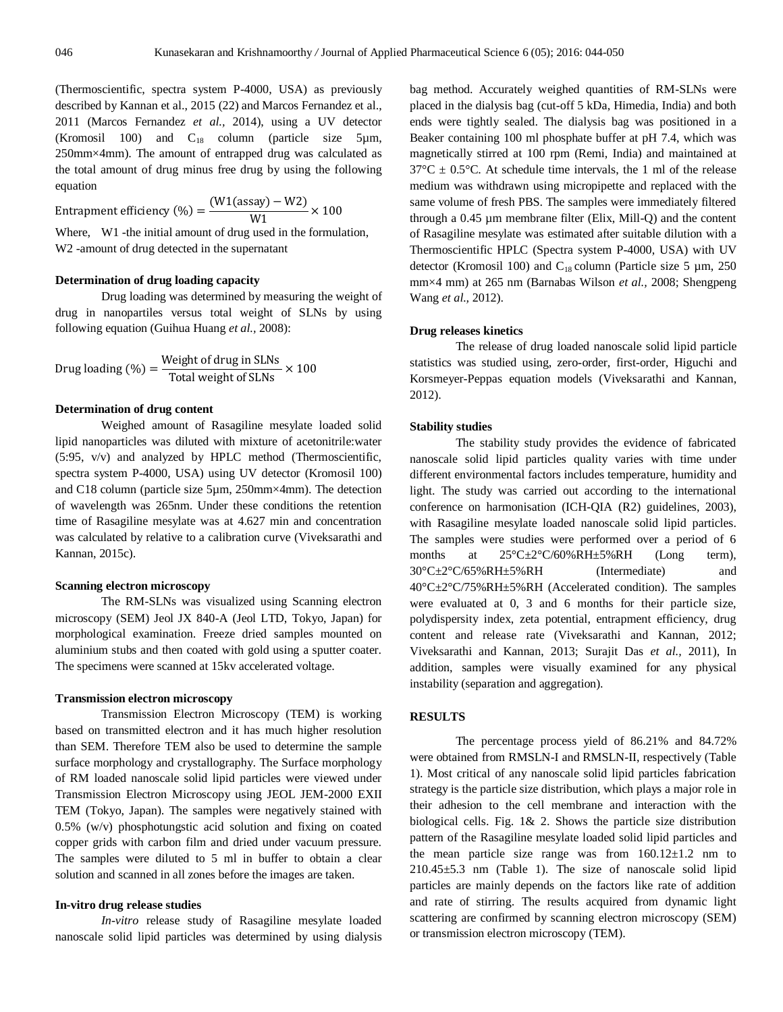(Thermoscientific, spectra system P-4000, USA) as previously described by Kannan et al., 2015 (22) and Marcos Fernandez et al., 2011 (Marcos Fernandez *et al.,* 2014), using a UV detector (Kromosil 100) and  $C_{18}$  column (particle size 5µm, 250mm×4mm). The amount of entrapped drug was calculated as the total amount of drug minus free drug by using the following equation

Entrapment efficiency (%) =  $\frac{(n+1)}{2}$  $\frac{1}{W1}$  × Where, W1 -the initial amount of drug used in the formulation, W2 -amount of drug detected in the supernatant

# **Determination of drug loading capacity**

Drug loading was determined by measuring the weight of drug in nanopartiles versus total weight of SLNs by using following equation (Guihua Huang *et al.,* 2008):

Drug loading (
$$
\%
$$
) = \frac{Weight of drug in SLNs}{Total weight of SLNs} \times 100

# **Determination of drug content**

Weighed amount of Rasagiline mesylate loaded solid lipid nanoparticles was diluted with mixture of acetonitrile:water (5:95, v/v) and analyzed by HPLC method (Thermoscientific, spectra system P-4000, USA) using UV detector (Kromosil 100) and C18 column (particle size 5µm, 250mm×4mm). The detection of wavelength was 265nm. Under these conditions the retention time of Rasagiline mesylate was at 4.627 min and concentration was calculated by relative to a calibration curve (Viveksarathi and Kannan, 2015c).

#### **Scanning electron microscopy**

The RM-SLNs was visualized using Scanning electron microscopy (SEM) Jeol JX 840-A (Jeol LTD, Tokyo, Japan) for morphological examination. Freeze dried samples mounted on aluminium stubs and then coated with gold using a sputter coater. The specimens were scanned at 15kv accelerated voltage.

# **Transmission electron microscopy**

Transmission Electron Microscopy (TEM) is working based on transmitted electron and it has much higher resolution than SEM. Therefore TEM also be used to determine the sample surface morphology and crystallography. The Surface morphology of RM loaded nanoscale solid lipid particles were viewed under Transmission Electron Microscopy using JEOL JEM-2000 EXII TEM (Tokyo, Japan). The samples were negatively stained with 0.5% (w/v) phosphotungstic acid solution and fixing on coated copper grids with carbon film and dried under vacuum pressure. The samples were diluted to 5 ml in buffer to obtain a clear solution and scanned in all zones before the images are taken.

# **In-vitro drug release studies**

*In-vitro* release study of Rasagiline mesylate loaded nanoscale solid lipid particles was determined by using dialysis bag method. Accurately weighed quantities of RM-SLNs were placed in the dialysis bag (cut-off 5 kDa, Himedia, India) and both ends were tightly sealed. The dialysis bag was positioned in a Beaker containing 100 ml phosphate buffer at pH 7.4, which was magnetically stirred at 100 rpm (Remi, India) and maintained at  $37^{\circ}$ C  $\pm$  0.5°C. At schedule time intervals, the 1 ml of the release medium was withdrawn using micropipette and replaced with the same volume of fresh PBS. The samples were immediately filtered through a 0.45 µm membrane filter (Elix, Mill-Q) and the content of Rasagiline mesylate was estimated after suitable dilution with a Thermoscientific HPLC (Spectra system P-4000, USA) with UV detector (Kromosil 100) and  $C_{18}$  column (Particle size 5 µm, 250 mm×4 mm) at 265 nm (Barnabas Wilson *et al.,* 2008; Shengpeng Wang *et al.,* 2012).

# **Drug releases kinetics**

The release of drug loaded nanoscale solid lipid particle statistics was studied using, zero-order, first-order, Higuchi and Korsmeyer-Peppas equation models (Viveksarathi and Kannan, 2012).

# **Stability studies**

The stability study provides the evidence of fabricated nanoscale solid lipid particles quality varies with time under different environmental factors includes temperature, humidity and light. The study was carried out according to the international conference on harmonisation (ICH-QIA (R2) guidelines, 2003), with Rasagiline mesylate loaded nanoscale solid lipid particles. The samples were studies were performed over a period of 6 months at  $25^{\circ}C \pm 2^{\circ}C/60\% RH \pm 5\%RH$  (Long term), 30°C±2°C/65%RH±5%RH (Intermediate) and 40°C±2°C/75%RH±5%RH (Accelerated condition). The samples were evaluated at 0, 3 and 6 months for their particle size, polydispersity index, zeta potential, entrapment efficiency, drug content and release rate (Viveksarathi and Kannan, 2012; Viveksarathi and Kannan, 2013; Surajit Das *et al.,* 2011), In addition, samples were visually examined for any physical instability (separation and aggregation).

# **RESULTS**

The percentage process yield of 86.21% and 84.72% were obtained from RMSLN-I and RMSLN-II, respectively (Table 1). Most critical of any nanoscale solid lipid particles fabrication strategy is the particle size distribution, which plays a major role in their adhesion to the cell membrane and interaction with the biological cells. Fig. 1& 2. Shows the particle size distribution pattern of the Rasagiline mesylate loaded solid lipid particles and the mean particle size range was from  $160.12 \pm 1.2$  nm to 210.45±5.3 nm (Table 1). The size of nanoscale solid lipid particles are mainly depends on the factors like rate of addition and rate of stirring. The results acquired from dynamic light scattering are confirmed by scanning electron microscopy (SEM) or transmission electron microscopy (TEM).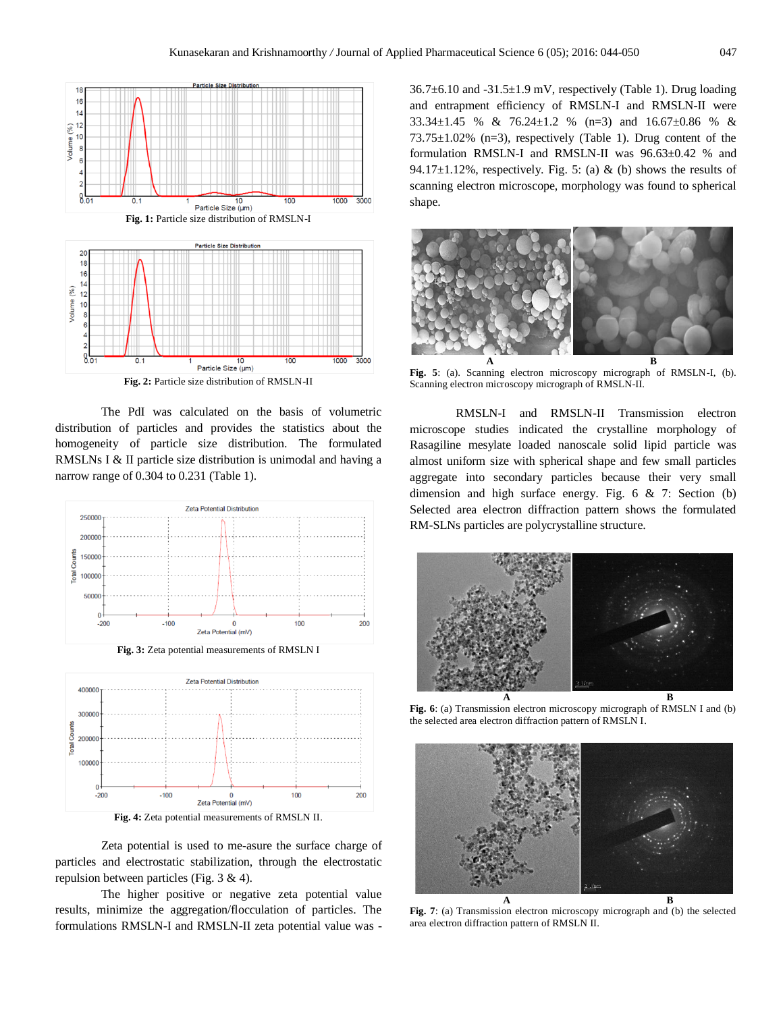

**Fig. 2:** Particle size distribution of RMSLN-II

The PdI was calculated on the basis of volumetric distribution of particles and provides the statistics about the homogeneity of particle size distribution. The formulated RMSLNs I & II particle size distribution is unimodal and having a narrow range of 0.304 to 0.231 (Table 1).





Zeta potential is used to me-asure the surface charge of particles and electrostatic stabilization, through the electrostatic repulsion between particles (Fig. 3 & 4).

The higher positive or negative zeta potential value results, minimize the aggregation/flocculation of particles. The formulations RMSLN-I and RMSLN-II zeta potential value was - 36.7±6.10 and -31.5±1.9 mV, respectively (Table 1). Drug loading and entrapment efficiency of RMSLN-I and RMSLN-II were 33.34±1.45 % & 76.24±1.2 % (n=3) and 16.67±0.86 % &  $73.75\pm1.02\%$  (n=3), respectively (Table 1). Drug content of the formulation RMSLN-I and RMSLN-II was 96.63±0.42 % and 94.17 $\pm$ 1.12%, respectively. Fig. 5: (a) & (b) shows the results of scanning electron microscope, morphology was found to spherical shape.



**Fig. 5**: (a). Scanning electron microscopy micrograph of RMSLN-I, (b). Scanning electron microscopy micrograph of RMSLN-II.

RMSLN-I and RMSLN-II Transmission electron microscope studies indicated the crystalline morphology of Rasagiline mesylate loaded nanoscale solid lipid particle was almost uniform size with spherical shape and few small particles aggregate into secondary particles because their very small dimension and high surface energy. Fig. 6 & 7: Section (b) Selected area electron diffraction pattern shows the formulated RM-SLNs particles are polycrystalline structure.



**Fig. 6**: (a) Transmission electron microscopy micrograph of RMSLN I and (b) the selected area electron diffraction pattern of RMSLN I.



**Fig. 7**: (a) Transmission electron microscopy micrograph and (b) the selected area electron diffraction pattern of RMSLN II.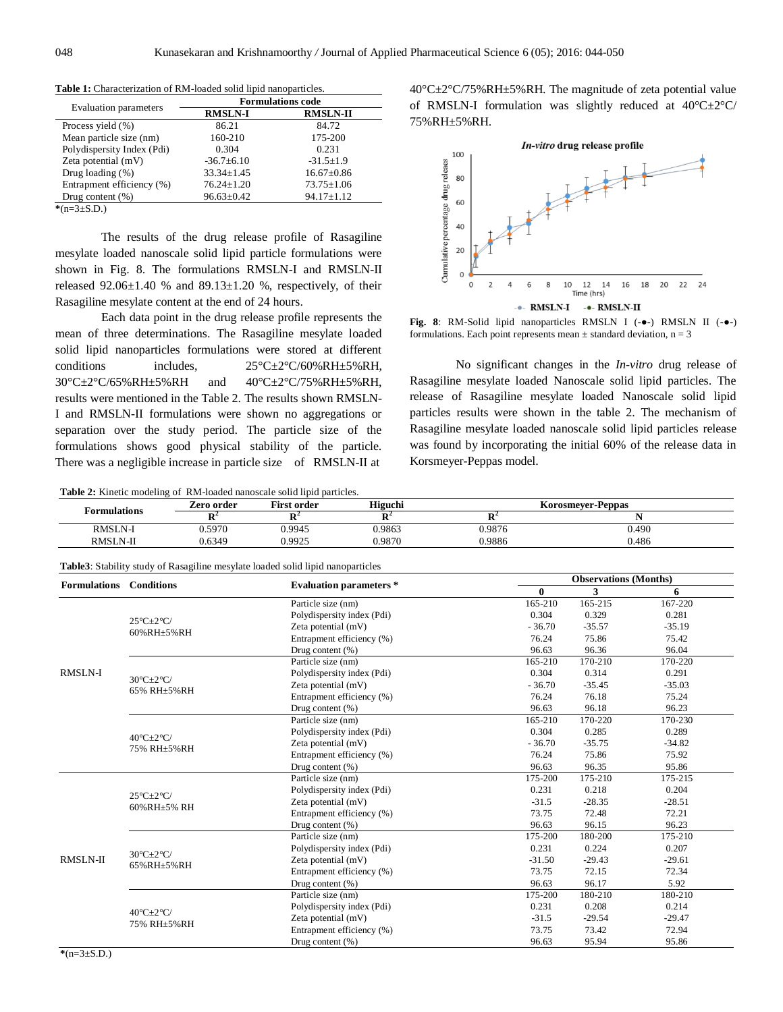|                              | <b>Formulations code</b> |                  |  |  |
|------------------------------|--------------------------|------------------|--|--|
| <b>Evaluation</b> parameters | <b>RMSLN-I</b>           | <b>RMSLN-II</b>  |  |  |
| Process yield (%)            | 86.21                    | 84.72            |  |  |
| Mean particle size (nm)      | 160-210                  | 175-200          |  |  |
| Polydispersity Index (Pdi)   | 0.304                    | 0.231            |  |  |
| Zeta potential $(mV)$        | $-36.7+6.10$             | $-31.5 \pm 1.9$  |  |  |
| Drug loading $(\%)$          | $33.34 \pm 1.45$         | $16.67 \pm 0.86$ |  |  |
| Entrapment efficiency (%)    | $76.24 \pm 1.20$         | $73.75 \pm 1.06$ |  |  |
| Drug content $(\%)$          | $96.63 \pm 0.42$         | $94.17 \pm 1.12$ |  |  |

**Table 1:** Characterization of RM-loaded solid lipid nanoparticles.

**\***(n=3±S.D.)

The results of the drug release profile of Rasagiline mesylate loaded nanoscale solid lipid particle formulations were shown in Fig. 8. The formulations RMSLN-I and RMSLN-II released  $92.06\pm1.40$  % and  $89.13\pm1.20$  %, respectively, of their Rasagiline mesylate content at the end of 24 hours.

Each data point in the drug release profile represents the mean of three determinations. The Rasagiline mesylate loaded solid lipid nanoparticles formulations were stored at different conditions includes,  $25^{\circ}C \pm 2^{\circ}C/60\%RH \pm 5\%RH$ , 30°C±2°C/65%RH±5%RH and 40°C±2°C/75%RH±5%RH, results were mentioned in the Table 2. The results shown RMSLN-I and RMSLN-II formulations were shown no aggregations or separation over the study period. The particle size of the formulations shows good physical stability of the particle. There was a negligible increase in particle size of RMSLN-II at

**Table 2:** Kinetic modeling of RM-loaded nanoscale solid lipid particles.

40°C±2°C/75%RH±5%RH. The magnitude of zeta potential value of RMSLN-I formulation was slightly reduced at 40°C±2°C/ 75%RH±5%RH.



**Fig. 8**: RM-Solid lipid nanoparticles RMSLN I (**-●-**) RMSLN II (**-●-**) formulations. Each point represents mean  $\pm$  standard deviation, n = 3

No significant changes in the *In-vitro* drug release of Rasagiline mesylate loaded Nanoscale solid lipid particles. The release of Rasagiline mesylate loaded Nanoscale solid lipid particles results were shown in the table 2. The mechanism of Rasagiline mesylate loaded nanoscale solid lipid particles release was found by incorporating the initial 60% of the release data in Korsmeyer-Peppas model.

| <b>Table 2.</b> Kinege moderniz of "Kivi-foaded hanoscale some more barticles." |            |                    |         |                          |       |  |  |  |
|---------------------------------------------------------------------------------|------------|--------------------|---------|--------------------------|-------|--|--|--|
| Formulations                                                                    | Zero order | <b>First order</b> | Higuchi | <b>Korosmever-Peppas</b> |       |  |  |  |
|                                                                                 |            |                    |         |                          |       |  |  |  |
| <b>RMSLN-I</b>                                                                  | 0.5970     | 0.9945             | 0.9863  | 0.9876                   | 0.490 |  |  |  |
| RMSLN-II                                                                        | 0.6349     | 0.9925             | 9.9870  | 9.9886                   | 0.486 |  |  |  |

**Table3**: Stability study of Rasagiline mesylate loaded solid lipid nanoparticles

|                                |                                                  |                                |              | <b>Observations (Months)</b> |          |  |
|--------------------------------|--------------------------------------------------|--------------------------------|--------------|------------------------------|----------|--|
| <b>Formulations</b> Conditions |                                                  | <b>Evaluation parameters *</b> | $\mathbf{0}$ | 3                            | 6        |  |
| <b>RMSLN-I</b>                 | $25^{\circ}$ C $\pm 2^{\circ}$ C/<br>60%RH±5%RH  | Particle size (nm)             | 165-210      | 165-215                      | 167-220  |  |
|                                |                                                  | Polydispersity index (Pdi)     | 0.304        | 0.329                        | 0.281    |  |
|                                |                                                  | Zeta potential (mV)            | $-36.70$     | $-35.57$                     | $-35.19$ |  |
|                                |                                                  | Entrapment efficiency (%)      | 76.24        | 75.86                        | 75.42    |  |
|                                |                                                  | Drug content (%)               | 96.63        | 96.36                        | 96.04    |  |
|                                | $30^{\circ}$ C $\pm 2^{\circ}$ C/<br>65% RH±5%RH | Particle size (nm)             | 165-210      | 170-210                      | 170-220  |  |
|                                |                                                  | Polydispersity index (Pdi)     | 0.304        | 0.314                        | 0.291    |  |
|                                |                                                  | Zeta potential (mV)            | $-36.70$     | $-35.45$                     | $-35.03$ |  |
|                                |                                                  | Entrapment efficiency (%)      | 76.24        | 76.18                        | 75.24    |  |
|                                |                                                  | Drug content (%)               | 96.63        | 96.18                        | 96.23    |  |
|                                | $40^{\circ}$ C $\pm 2^{\circ}$ C/<br>75% RH±5%RH | Particle size (nm)             | 165-210      | 170-220                      | 170-230  |  |
|                                |                                                  | Polydispersity index (Pdi)     | 0.304        | 0.285                        | 0.289    |  |
|                                |                                                  | Zeta potential (mV)            | $-36.70$     | $-35.75$                     | $-34.82$ |  |
|                                |                                                  | Entrapment efficiency (%)      | 76.24        | 75.86                        | 75.92    |  |
|                                |                                                  | Drug content (%)               | 96.63        | 96.35                        | 95.86    |  |
| <b>RMSLN-II</b>                | $25^{\circ}$ C $\pm 2^{\circ}$ C/<br>60%RH±5% RH | Particle size (nm)             | 175-200      | 175-210                      | 175-215  |  |
|                                |                                                  | Polydispersity index (Pdi)     | 0.231        | 0.218                        | 0.204    |  |
|                                |                                                  | Zeta potential (mV)            | $-31.5$      | $-28.35$                     | $-28.51$ |  |
|                                |                                                  | Entrapment efficiency (%)      | 73.75        | 72.48                        | 72.21    |  |
|                                |                                                  | Drug content $(\% )$           | 96.63        | 96.15                        | 96.23    |  |
|                                | $30^{\circ}$ C $\pm 2^{\circ}$ C/<br>65%RH±5%RH  | Particle size (nm)             | 175-200      | 180-200                      | 175-210  |  |
|                                |                                                  | Polydispersity index (Pdi)     | 0.231        | 0.224                        | 0.207    |  |
|                                |                                                  | Zeta potential (mV)            | $-31.50$     | $-29.43$                     | $-29.61$ |  |
|                                |                                                  | Entrapment efficiency (%)      | 73.75        | 72.15                        | 72.34    |  |
|                                |                                                  | Drug content $(\% )$           | 96.63        | 96.17                        | 5.92     |  |
|                                | $40^{\circ}$ C $\pm 2^{\circ}$ C/<br>75% RH±5%RH | Particle size (nm)             | 175-200      | 180-210                      | 180-210  |  |
|                                |                                                  | Polydispersity index (Pdi)     | 0.231        | 0.208                        | 0.214    |  |
|                                |                                                  | Zeta potential (mV)            | $-31.5$      | $-29.54$                     | $-29.47$ |  |
|                                |                                                  | Entrapment efficiency (%)      | 73.75        | 73.42                        | 72.94    |  |
|                                |                                                  | Drug content $(\% )$           | 96.63        | 95.94                        | 95.86    |  |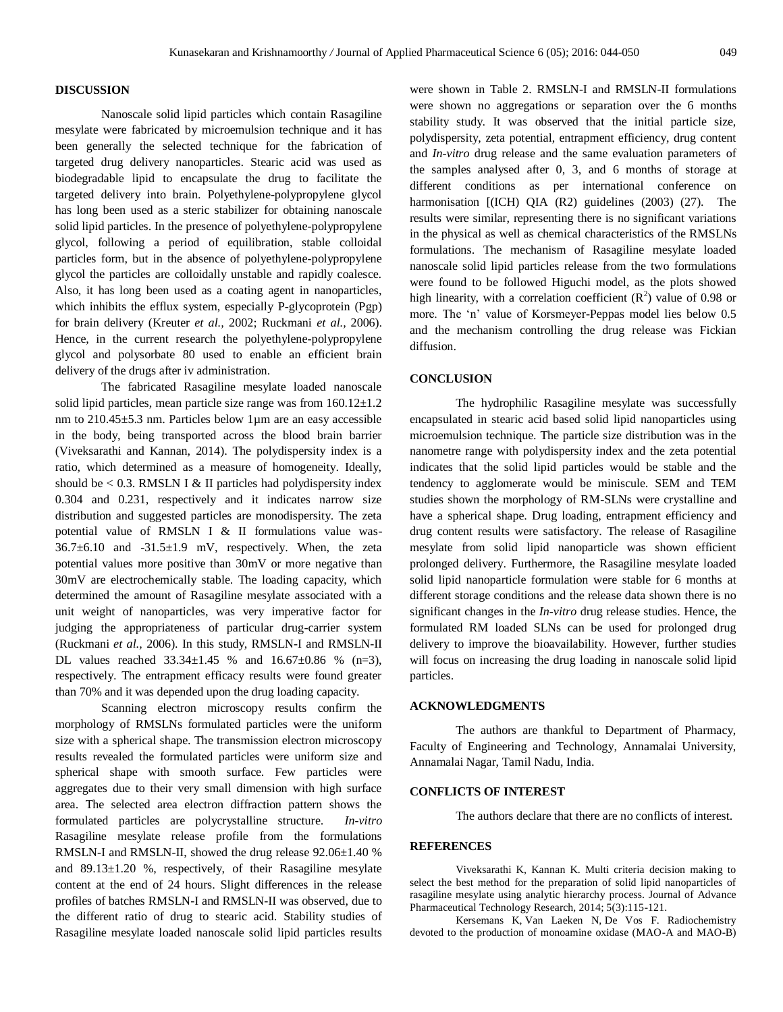# **DISCUSSION**

Nanoscale solid lipid particles which contain Rasagiline mesylate were fabricated by microemulsion technique and it has been generally the selected technique for the fabrication of targeted drug delivery nanoparticles. Stearic acid was used as biodegradable lipid to encapsulate the drug to facilitate the targeted delivery into brain. Polyethylene-polypropylene glycol has long been used as a steric stabilizer for obtaining nanoscale solid lipid particles. In the presence of polyethylene-polypropylene glycol, following a period of equilibration, stable colloidal particles form, but in the absence of polyethylene-polypropylene glycol the particles are colloidally unstable and rapidly coalesce. Also, it has long been used as a coating agent in nanoparticles, which inhibits the efflux system, especially P-glycoprotein (Pgp) for brain delivery (Kreuter *et al.,* 2002; Ruckmani *et al.,* 2006). Hence, in the current research the polyethylene-polypropylene glycol and polysorbate 80 used to enable an efficient brain delivery of the drugs after iv administration.

The fabricated Rasagiline mesylate loaded nanoscale solid lipid particles, mean particle size range was from  $160.12 \pm 1.2$ nm to 210.45±5.3 nm. Particles below 1µm are an easy accessible in the body, being transported across the blood brain barrier (Viveksarathi and Kannan, 2014). The polydispersity index is a ratio, which determined as a measure of homogeneity. Ideally, should be  $< 0.3$ . RMSLN I & II particles had polydispersity index 0.304 and 0.231, respectively and it indicates narrow size distribution and suggested particles are monodispersity. The zeta potential value of RMSLN I & II formulations value was- $36.7\pm6.10$  and  $-31.5\pm1.9$  mV, respectively. When, the zeta potential values more positive than 30mV or more negative than 30mV are electrochemically stable. The loading capacity, which determined the amount of Rasagiline mesylate associated with a unit weight of nanoparticles, was very imperative factor for judging the appropriateness of particular drug-carrier system (Ruckmani *et al.,* 2006). In this study, RMSLN-I and RMSLN-II DL values reached  $33.34 \pm 1.45$  % and  $16.67 \pm 0.86$  % (n=3), respectively. The entrapment efficacy results were found greater than 70% and it was depended upon the drug loading capacity.

Scanning electron microscopy results confirm the morphology of RMSLNs formulated particles were the uniform size with a spherical shape. The transmission electron microscopy results revealed the formulated particles were uniform size and spherical shape with smooth surface. Few particles were aggregates due to their very small dimension with high surface area. The selected area electron diffraction pattern shows the formulated particles are polycrystalline structure. *In-vitro*  Rasagiline mesylate release profile from the formulations RMSLN-I and RMSLN-II, showed the drug release 92.06±1.40 % and  $89.13 \pm 1.20$  %, respectively, of their Rasagiline mesylate content at the end of 24 hours. Slight differences in the release profiles of batches RMSLN-I and RMSLN-II was observed, due to the different ratio of drug to stearic acid. Stability studies of Rasagiline mesylate loaded nanoscale solid lipid particles results

were shown in Table 2. RMSLN-I and RMSLN-II formulations were shown no aggregations or separation over the 6 months stability study. It was observed that the initial particle size, polydispersity, zeta potential, entrapment efficiency, drug content and *In-vitro* drug release and the same evaluation parameters of the samples analysed after 0, 3, and 6 months of storage at different conditions as per international conference on harmonisation [(ICH) QIA (R2) guidelines (2003) (27). The results were similar, representing there is no significant variations in the physical as well as chemical characteristics of the RMSLNs formulations. The mechanism of Rasagiline mesylate loaded nanoscale solid lipid particles release from the two formulations were found to be followed Higuchi model, as the plots showed high linearity, with a correlation coefficient  $(R^2)$  value of 0.98 or more. The 'n' value of Korsmeyer-Peppas model lies below 0.5 and the mechanism controlling the drug release was Fickian diffusion.

# **CONCLUSION**

The hydrophilic Rasagiline mesylate was successfully encapsulated in stearic acid based solid lipid nanoparticles using microemulsion technique. The particle size distribution was in the nanometre range with polydispersity index and the zeta potential indicates that the solid lipid particles would be stable and the tendency to agglomerate would be miniscule. SEM and TEM studies shown the morphology of RM-SLNs were crystalline and have a spherical shape. Drug loading, entrapment efficiency and drug content results were satisfactory. The release of Rasagiline mesylate from solid lipid nanoparticle was shown efficient prolonged delivery. Furthermore, the Rasagiline mesylate loaded solid lipid nanoparticle formulation were stable for 6 months at different storage conditions and the release data shown there is no significant changes in the *In-vitro* drug release studies. Hence, the formulated RM loaded SLNs can be used for prolonged drug delivery to improve the bioavailability. However, further studies will focus on increasing the drug loading in nanoscale solid lipid particles.

# **ACKNOWLEDGMENTS**

The authors are thankful to Department of Pharmacy, Faculty of Engineering and Technology, Annamalai University, Annamalai Nagar, Tamil Nadu, India.

# **CONFLICTS OF INTEREST**

The authors declare that there are no conflicts of interest.

# **REFERENCES**

Viveksarathi K, Kannan K. Multi criteria decision making to select the best method for the preparation of solid lipid nanoparticles of rasagiline mesylate using analytic hierarchy process. Journal of Advance Pharmaceutical Technology Research, 2014; 5(3):115-121.

Kersemans K, Van Laeken N, De Vos F. Radiochemistry devoted to the production of monoamine oxidase (MAO-A and MAO-B)